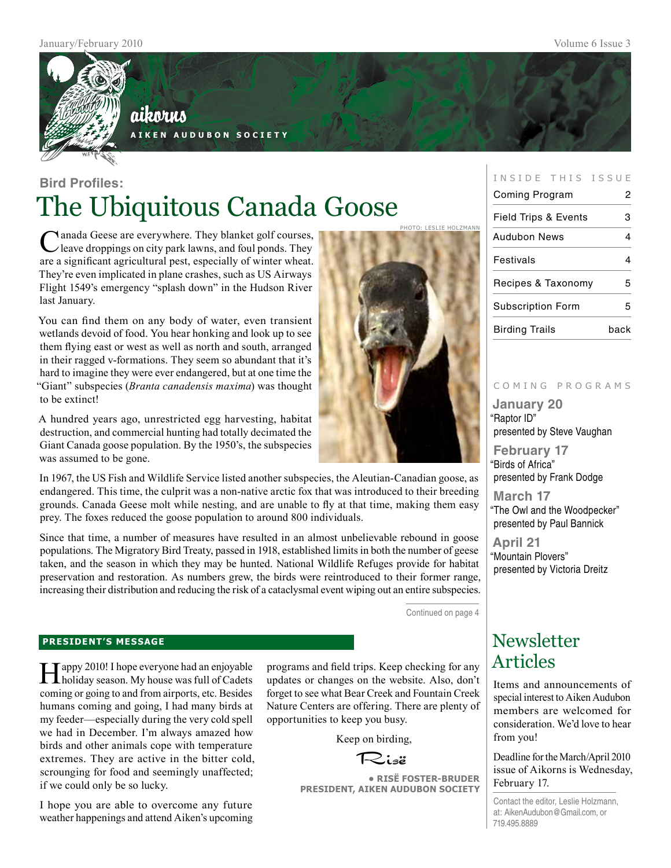

## aikorus

**A i k e n A u d u b o n S o c i e t y**

## **Bird Profiles:** The Ubiquitous Canada Goose

Manada Geese are everywhere. They blanket golf courses, leave droppings on city park lawns, and foul ponds. They are a significant agricultural pest, especially of winter wheat. They're even implicated in plane crashes, such as US Airways Flight 1549's emergency "splash down" in the Hudson River last January.

You can find them on any body of water, even transient wetlands devoid of food. You hear honking and look up to see them flying east or west as well as north and south, arranged in their ragged v-formations. They seem so abundant that it's hard to imagine they were ever endangered, but at one time the "Giant" subspecies (*Branta canadensis maxima*) was thought to be extinct!

A hundred years ago, unrestricted egg harvesting, habitat destruction, and commercial hunting had totally decimated the Giant Canada goose population. By the 1950's, the subspecies was assumed to be gone.

In 1967, the US Fish and Wildlife Service listed another subspecies, the Aleutian-Canadian goose, as endangered. This time, the culprit was a non-native arctic fox that was introduced to their breeding grounds. Canada Geese molt while nesting, and are unable to fly at that time, making them easy prey. The foxes reduced the goose population to around 800 individuals.

Since that time, a number of measures have resulted in an almost unbelievable rebound in goose populations. The Migratory Bird Treaty, passed in 1918, established limits in both the number of geese taken, and the season in which they may be hunted. National Wildlife Refuges provide for habitat preservation and restoration. As numbers grew, the birds were reintroduced to their former range, increasing their distribution and reducing the risk of a cataclysmal event wiping out an entire subspecies.

Continued on page 4

photo: Leslie holzmann

#### **president's message**

Happy 2010! I hope everyone had an enjoyable holiday season. My house was full of Cadets coming or going to and from airports, etc. Besides humans coming and going, I had many birds at my feeder—especially during the very cold spell we had in December. I'm always amazed how birds and other animals cope with temperature extremes. They are active in the bitter cold, scrounging for food and seemingly unaffected; if we could only be so lucky.

I hope you are able to overcome any future weather happenings and attend Aiken's upcoming programs and field trips. Keep checking for any updates or changes on the website. Also, don't forget to see what Bear Creek and Fountain Creek Nature Centers are offering. There are plenty of opportunities to keep you busy.

Keep on birding,

Risë

**• RisË Foster-Bruder President, Aiken Audubon Society**

#### INSIDE THIS ISSUE

| Coming Program                  | 2    |
|---------------------------------|------|
| <b>Field Trips &amp; Events</b> | з    |
| Audubon News                    |      |
| Festivals                       | 1    |
| Recipes & Taxonomy              | 5    |
| <b>Subscription Form</b>        | 5    |
| <b>Birding Trails</b>           | back |

#### c o m i n g p r o g r a m s

**January 20** "Raptor ID" presented by Steve Vaughan

**February 17** "Birds of Africa" presented by Frank Dodge

**March 17** "The Owl and the Woodpecker" presented by Paul Bannick

**April 21** "Mountain Plovers" presented by Victoria Dreitz

## **Newsletter** Articles

Items and announcements of special interest to Aiken Audubon members are welcomed for consideration. We'd love to hear from you!

Deadline for the March/April 2010 issue of Aikorns is Wednesday, February 17.

Contact the editor, Leslie Holzmann, at: AikenAudubon@Gmail.com, or 719.495.8889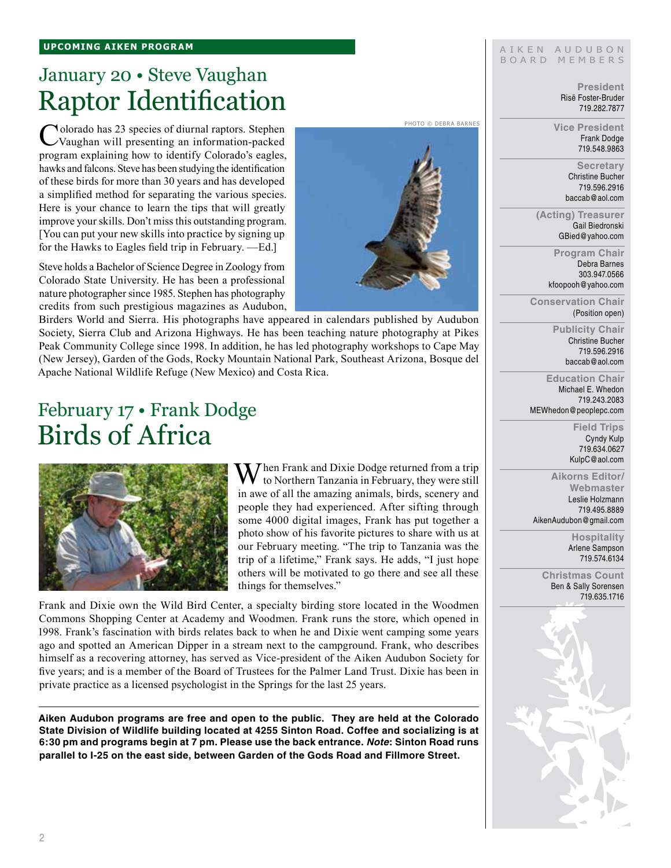## January 20 • Steve Vaughan Raptor Identification

Colorado has 23 species of diurnal raptors. Stephen Vaughan will presenting an information-packed program explaining how to identify Colorado's eagles, hawks and falcons. Steve has been studying the identification of these birds for more than 30 years and has developed a simplified method for separating the various species. Here is your chance to learn the tips that will greatly improve your skills. Don't miss this outstanding program. [You can put your new skills into practice by signing up for the Hawks to Eagles field trip in February. —Ed.]

Steve holds a Bachelor of Science Degree in Zoology from Colorado State University. He has been a professional nature photographer since 1985. Stephen has photography credits from such prestigious magazines as Audubon,

Birders World and Sierra. His photographs have appeared in calendars published by Audubon Society, Sierra Club and Arizona Highways. He has been teaching nature photography at Pikes Peak Community College since 1998. In addition, he has led photography workshops to Cape May (New Jersey), Garden of the Gods, Rocky Mountain National Park, Southeast Arizona, Bosque del Apache National Wildlife Refuge (New Mexico) and Costa Rica.

## February 17 • Frank Dodge Birds of Africa



 $\mathbf{W}$ hen Frank and Dixie Dodge returned from a trip to Northern Tanzania in February, they were still in awe of all the amazing animals, birds, scenery and people they had experienced. After sifting through some 4000 digital images, Frank has put together a photo show of his favorite pictures to share with us at our February meeting. "The trip to Tanzania was the trip of a lifetime," Frank says. He adds, "I just hope others will be motivated to go there and see all these things for themselves."

Frank and Dixie own the Wild Bird Center, a specialty birding store located in the Woodmen Commons Shopping Center at Academy and Woodmen. Frank runs the store, which opened in 1998. Frank's fascination with birds relates back to when he and Dixie went camping some years ago and spotted an American Dipper in a stream next to the campground. Frank, who describes himself as a recovering attorney, has served as Vice-president of the Aiken Audubon Society for five years; and is a member of the Board of Trustees for the Palmer Land Trust. Dixie has been in private practice as a licensed psychologist in the Springs for the last 25 years.

**Aiken Audubon programs are free and open to the public. They are held at the Colorado State Division of Wildlife building located at 4255 Sinton Road. Coffee and socializing is at 6:30 pm and programs begin at 7 pm. Please use the back entrance.** *Note***: Sinton Road runs parallel to I-25 on the east side, between Garden of the Gods Road and Fillmore Street.**

Photo © debra barnes



**President** Risë Foster-Bruder

AIKEN AUDUBON B O A R D M E M B E R S

> Frank Dodge 719.548.9863

**Secretary** Christine Bucher 719.596.2916 baccab@aol.com

**(Acting) Treasurer** Gail Biedronski GBied@yahoo.com

> **Program Chair** Debra Barnes 303.947.0566 kfoopooh@yahoo.com

**Conservation Chair** (Position open)

> **Publicity Chair** Christine Bucher 719.596.2916 baccab@aol.com

**Education Chair** Michael E. Whedon 719.243.2083 MEWhedon@peoplepc.com

> **Field Trips** Cyndy Kulp 719.634.0627 KulpC@aol.com

**Aikorns Editor/ Webmaster** Leslie Holzmann 719.495.8889 AikenAudubon@gmail.com

> **Hospitality** Arlene Sampson 719.574.6134

**Christmas Count** Ben & Sally Sorensen 719.635.1716

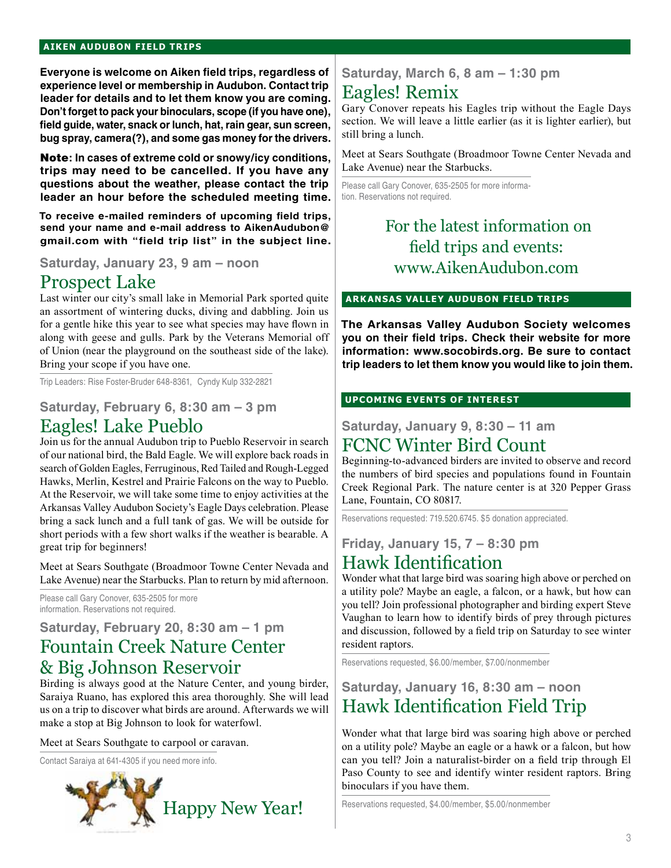#### **aiken audubon FIELD TRIPS**

**Everyone is welcome on Aiken field trips, regardless of experience level or membership in Audubon. Contact trip leader for details and to let them know you are coming. Don't forget to pack your binoculars, scope (if you have one), field guide, water, snack or lunch, hat, rain gear, sun screen, bug spray, camera(?), and some gas money for the drivers.** 

Note**: In cases of extreme cold or snowy/icy conditions, trips may need to be cancelled. If you have any questions about the weather, please contact the trip leader an hour before the scheduled meeting time.**

**To receive e-mailed reminders of upcoming field trips, send your name and e-mail address to AikenAudubon@ gmail.com with "field trip list" in the subject line.**

### Prospect Lake

Last winter our city's small lake in Memorial Park sported quite an assortment of wintering ducks, diving and dabbling. Join us for a gentle hike this year to see what species may have flown in along with geese and gulls. Park by the Veterans Memorial off of Union (near the playground on the southeast side of the lake). Bring your scope if you have one.

Trip Leaders: Rise Foster-Bruder 648-8361, Cyndy Kulp 332-2821

### **Saturday, February 6, 8:30 am – 3 pm**  Eagles! Lake Pueblo

Join us for the annual Audubon trip to Pueblo Reservoir in search of our national bird, the Bald Eagle. We will explore back roads in search of Golden Eagles, Ferruginous, Red Tailed and Rough-Legged Hawks, Merlin, Kestrel and Prairie Falcons on the way to Pueblo. At the Reservoir, we will take some time to enjoy activities at the Arkansas Valley Audubon Society's Eagle Days celebration. Please bring a sack lunch and a full tank of gas. We will be outside for short periods with a few short walks if the weather is bearable. A great trip for beginners!

Meet at Sears Southgate (Broadmoor Towne Center Nevada and Lake Avenue) near the Starbucks. Plan to return by mid afternoon.

Please call Gary Conover, 635-2505 for more information. Reservations not required.

### **Saturday, February 20, 8:30 am – 1 pm** Fountain Creek Nature Center & Big Johnson Reservoir

Birding is always good at the Nature Center, and young birder, Saraiya Ruano, has explored this area thoroughly. She will lead us on a trip to discover what birds are around. Afterwards we will make a stop at Big Johnson to look for waterfowl.

Meet at Sears Southgate to carpool or caravan.

Contact Saraiya at 641-4305 if you need more info.



#### **Saturday, March 6, 8 am – 1:30 pm**

### Eagles! Remix

Gary Conover repeats his Eagles trip without the Eagle Days section. We will leave a little earlier (as it is lighter earlier), but still bring a lunch.

Meet at Sears Southgate (Broadmoor Towne Center Nevada and Lake Avenue) near the Starbucks.

Please call Gary Conover, 635-2505 for more information. Reservations not required.

### For the latest information on field trips and events: **Saturday, January 23, 9 am – noon** www.AikenAudubon.com

#### **arkansas valley audubon FIELD TRIPs**

**The Arkansas Valley Audubon Society welcomes you on their field trips. Check their website for more information: www.socobirds.org. Be sure to contact trip leaders to let them know you would like to join them.**

#### **UPCOMING EVENTS OF INTEREST**

#### **Saturday, January 9, 8:30 – 11 am** FCNC Winter Bird Count

Beginning-to-advanced birders are invited to observe and record the numbers of bird species and populations found in Fountain Creek Regional Park. The nature center is at 320 Pepper Grass Lane, Fountain, CO 80817.

Reservations requested: 719.520.6745. \$5 donation appreciated.

**Friday, January 15, 7 – 8:30 pm**

### Hawk Identification

Wonder what that large bird was soaring high above or perched on a utility pole? Maybe an eagle, a falcon, or a hawk, but how can you tell? Join professional photographer and birding expert Steve Vaughan to learn how to identify birds of prey through pictures and discussion, followed by a field trip on Saturday to see winter resident raptors.

Reservations requested, \$6.00/member, \$7.00/nonmember

### **Saturday, January 16, 8:30 am – noon** Hawk Identification Field Trip

Wonder what that large bird was soaring high above or perched on a utility pole? Maybe an eagle or a hawk or a falcon, but how can you tell? Join a naturalist-birder on a field trip through El Paso County to see and identify winter resident raptors. Bring binoculars if you have them.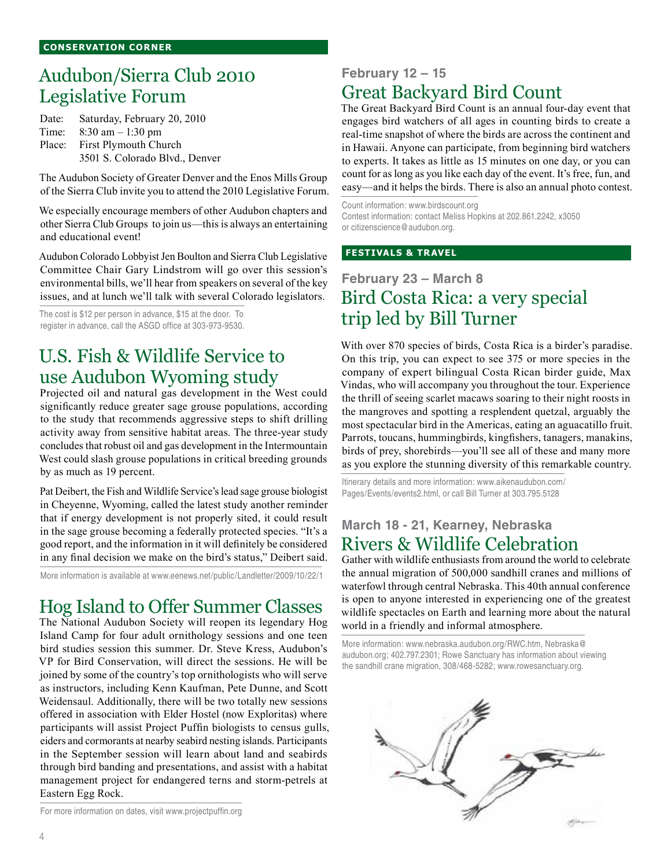## Audubon/Sierra Club 2010 Legislative Forum

Date: Saturday, February 20, 2010 Time: 8:30 am – 1:30 pm Place: First Plymouth Church 3501 S. Colorado Blvd., Denver

The Audubon Society of Greater Denver and the Enos Mills Group of the Sierra Club invite you to attend the 2010 Legislative Forum.

We especially encourage members of other Audubon chapters and other Sierra Club Groups to join us—this is always an entertaining and educational event!

Audubon Colorado Lobbyist Jen Boulton and Sierra Club Legislative Committee Chair Gary Lindstrom will go over this session's environmental bills, we'll hear from speakers on several of the key issues, and at lunch we'll talk with several Colorado legislators.

The cost is \$12 per person in advance, \$15 at the door. To register in advance, call the ASGD office at 303-973-9530.

## U.S. Fish & Wildlife Service to use Audubon Wyoming study

Projected oil and natural gas development in the West could significantly reduce greater sage grouse populations, according to the study that recommends aggressive steps to shift drilling activity away from sensitive habitat areas. The three-year study concludes that robust oil and gas development in the Intermountain West could slash grouse populations in critical breeding grounds by as much as 19 percent.

Pat Deibert, the Fish and Wildlife Service's lead sage grouse biologist in Cheyenne, Wyoming, called the latest study another reminder that if energy development is not properly sited, it could result in the sage grouse becoming a federally protected species. "It's a good report, and the information in it will definitely be considered in any final decision we make on the bird's status," Deibert said.

More information is available at www.eenews.net/public/Landletter/2009/10/22/1

## Hog Island to Offer Summer Classes

The National Audubon Society will reopen its legendary Hog Island Camp for four adult ornithology sessions and one teen bird studies session this summer. Dr. Steve Kress, Audubon's VP for Bird Conservation, will direct the sessions. He will be joined by some of the country's top ornithologists who will serve as instructors, including Kenn Kaufman, Pete Dunne, and Scott Weidensaul. Additionally, there will be two totally new sessions offered in association with Elder Hostel (now Exploritas) where participants will assist Project Puffin biologists to census gulls, eiders and cormorants at nearby seabird nesting islands. Participants in the September session will learn about land and seabirds through bird banding and presentations, and assist with a habitat management project for endangered terns and storm-petrels at Eastern Egg Rock.

For more information on dates, visit www.projectpuffin.org

### **February 12 – 15** Great Backyard Bird Count

The Great Backyard Bird Count is an annual four-day event that engages bird watchers of all ages in counting birds to create a real-time snapshot of where the birds are across the continent and in Hawaii. Anyone can participate, from beginning bird watchers to experts. It takes as little as 15 minutes on one day, or you can count for as long as you like each day of the event. It's free, fun, and easy—and it helps the birds. There is also an annual photo contest.

Count information: www.birdscount.org Contest information: contact Meliss Hopkins at 202.861.2242, x3050 or citizenscience@audubon.org.

#### **festivals & travel**

### **February 23 – March 8** Bird Costa Rica: a very special trip led by Bill Turner

With over 870 species of birds, Costa Rica is a birder's paradise. On this trip, you can expect to see 375 or more species in the company of expert bilingual Costa Rican birder guide, Max Vindas, who will accompany you throughout the tour. Experience the thrill of seeing scarlet macaws soaring to their night roosts in the mangroves and spotting a resplendent quetzal, arguably the most spectacular bird in the Americas, eating an aguacatillo fruit. Parrots, toucans, hummingbirds, kingfishers, tanagers, manakins, birds of prey, shorebirds—you'll see all of these and many more as you explore the stunning diversity of this remarkable country.

Itinerary details and more information: www.aikenaudubon.com/ Pages/Events/events2.html, or call Bill Turner at 303.795.5128

#### **March 18 - 21, Kearney, Nebraska** Rivers & Wildlife Celebration

Gather with wildlife enthusiasts from around the world to celebrate the annual migration of 500,000 sandhill cranes and millions of waterfowl through central Nebraska. This 40th annual conference is open to anyone interested in experiencing one of the greatest wildlife spectacles on Earth and learning more about the natural world in a friendly and informal atmosphere.

More information: www.nebraska.audubon.org/RWC.htm, Nebraska@ audubon.org; 402.797.2301; Rowe Sanctuary has information about viewing the sandhill crane migration, 308/468-5282; www.rowesanctuary.org.

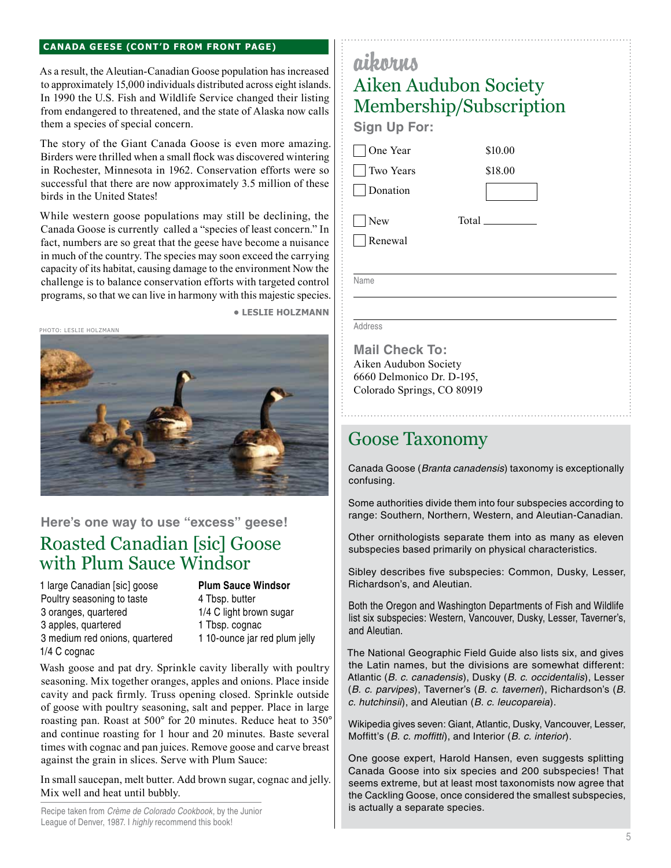#### **Canada Geese (cont'd from front page)**

As a result, the Aleutian-Canadian Goose population has increased to approximately 15,000 individuals distributed across eight islands. In 1990 the U.S. Fish and Wildlife Service changed their listing from endangered to threatened, and the state of Alaska now calls them a species of special concern.

The story of the Giant Canada Goose is even more amazing. Birders were thrilled when a small flock was discovered wintering in Rochester, Minnesota in 1962. Conservation efforts were so successful that there are now approximately 3.5 million of these birds in the United States!

While western goose populations may still be declining, the Canada Goose is currently called a "species of least concern." In fact, numbers are so great that the geese have become a nuisance in much of the country. The species may soon exceed the carrying capacity of its habitat, causing damage to the environment Now the challenge is to balance conservation efforts with targeted control programs, so that we can live in harmony with this majestic species. **• leslie holzmann**



**Here's one way to use "excess" geese!**

## Roasted Canadian [sic] Goose with Plum Sauce Windsor

1 large Canadian [sic] goose **Plum Sauce Windsor** Poultry seasoning to taste 4 Tbsp. butter 3 oranges, quartered 1/4 C light brown sugar 3 apples, quartered 1 Tbsp. cognac 3 medium red onions, quartered 1 10-ounce jar red plum jelly 1/4 C cognac

Wash goose and pat dry. Sprinkle cavity liberally with poultry seasoning. Mix together oranges, apples and onions. Place inside cavity and pack firmly. Truss opening closed. Sprinkle outside of goose with poultry seasoning, salt and pepper. Place in large roasting pan. Roast at 500*°* for 20 minutes. Reduce heat to 350*°* and continue roasting for 1 hour and 20 minutes. Baste several times with cognac and pan juices. Remove goose and carve breast against the grain in slices. Serve with Plum Sauce:

In small saucepan, melt butter. Add brown sugar, cognac and jelly. Mix well and heat until bubbly.

Recipe taken from *Crème de Colorado Cookbook*, by the Junior League of Denver, 1987. I *highly* recommend this book!

## aikorus Aiken Audubon Society Membership/Subscription

**Sign Up For:**

One Year

 Two Years Donation

 New Renewal Total

\$10.00 \$18.00

Name

Address

**Mail Check To:** Aiken Audubon Society 6660 Delmonico Dr. D-195, Colorado Springs, CO 80919

### Goose Taxonomy

Canada Goose (*Branta canadensis*) taxonomy is exceptionally confusing.

Some authorities divide them into four subspecies according to range: Southern, Northern, Western, and Aleutian-Canadian.

Other ornithologists separate them into as many as eleven subspecies based primarily on physical characteristics.

Sibley describes five subspecies: Common, Dusky, Lesser, Richardson's, and Aleutian.

Both the Oregon and Washington Departments of Fish and Wildlife list six subspecies: Western, Vancouver, Dusky, Lesser, Taverner's, and Aleutian.

The National Geographic Field Guide also lists six, and gives the Latin names, but the divisions are somewhat different: Atlantic (*B. c. canadensis*), Dusky (*B. c. occidentalis*), Lesser (*B. c. parvipes*), Taverner's (*B. c. taverneri*), Richardson's (*B. c. hutchinsii*), and Aleutian (*B. c. leucopareia*).

Wikipedia gives seven: Giant, Atlantic, Dusky, Vancouver, Lesser, Moffitt's (*B. c. moffitti*), and Interior (*B. c. interior*).

One goose expert, Harold Hansen, even suggests splitting Canada Goose into six species and 200 subspecies! That seems extreme, but at least most taxonomists now agree that the Cackling Goose, once considered the smallest subspecies, is actually a separate species.